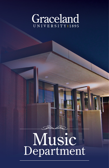

# Music Department R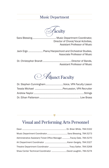## Music Department

*F*aculty

Sara Blessing.................................... Music Department Coordinator, Director of Choral/Vocal Activities, Assistant Professor of Music

Jack Ergo ...................... Piano/Harpsichord and Orchestral Studies, Associate Professor of Music

Dr. Christopher Brandt ...........................................Director of Bands, Assistant Professor of Music

*A*djunct Faculty

| Dr. Stephen CunninghamVoice, VPA Faculty Liason |  |
|-------------------------------------------------|--|
|                                                 |  |
|                                                 |  |
|                                                 |  |

## Visual and Performing Arts Personnel

| Administrative Assistant/Ticket Office ManagerTracey Dale, 784.5270 |  |
|---------------------------------------------------------------------|--|
|                                                                     |  |
|                                                                     |  |
|                                                                     |  |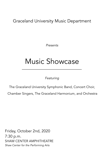Graceland University Music Department

*Presents* 

## Music Showcase

*Featuring* 

The Graceland University Symphonic Band, Concert Choir,

Chamber Singers, The Graceland Harmonium, and Orchestra

Friday, October 2nd, 2020 7:30 p.m. SHAW CENTER AMPHITHEATRE *Shaw Center for the Performing Arts*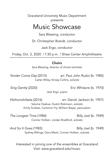Graceland University Music Department *presents*

## Music Showcase

Sara Blessing, conductor

Dr. Christopher Brandt*,* conductor

Jack Ergo, conductor

Friday, Oct. 2, 2020 | 7:30 p.m. | Shaw Center Amphitheatre

## **Choirs**

Sara Blessing, director of choral activities

*Yonder Come Day* (2015) arr. Paul John Rudoi (b. 1985) Carter Wiley, Kinsey Collins, *soloists* 

*Sing Gently* (2020) Eric Whitacre (b. 1970)

Jack Ergo, *piano* 

*Hlohonolofasta* (2016) arr. Daniel Jackson (b. 1957) Salume Osakue, Dustin Robinson, *soloists*  Emily Scobee, Cameron Fry, William Bayse, *percussion* 

*The Longest Time* (1984) Billy Joel (b. 1949) Conner Holben, Jordan Bradford, *soloists*

*And So It Goes* (1983) Billy Joel (b. 1949) Sydney Billings, Dora Martz, Conner Holben, *soloists* 

Interested in joining one of the ensembles at Graceland Visit: www.graceland.edu/music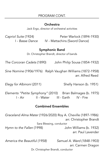## Orchestra

Jack Ergo, director of orchestral activities

*Capriol Suite* (1924) Peter Warlock (1894-1930) I - *Basse Dance* IV - Mattachins (Sword Dance)

## Symphonic Band

Dr. Christopher Brandt, director of bands

*The Corcoran Cadets* (1890) John Philip Sousa (1854-1932)

*Sine Nomine* (1906/1976) Ralph Vaughan Williams (1872-1958) arr. Alfred Reed

*Elegy for Albinoni* (2011) Shelly Hanson (b. 1951)

*Elements "Petite Symphony"* (2010) Brian Balmages (b. 1975) I - Air II - Water III - Earth IV - Fire

## Combined Ensembles

*Graceland Alma Mater* (1926/2020) Roy A. Cheville (1897-1986) arr. Christopher Brandt Sara Blessing, conductor *Hymn to the Fallen* (1998) John Williams (b. 1932) arr. Paul Lavender

*America the Beautiful (1958) Samuel A. Ward (1848-1903)* 

arr. Carmen Dragon

Dr. Christopher Brandt, conductor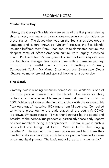## Yonder Come Day

History, the Georgia Sea Islands were some of the first places slaving ships arrived, and many of those slaves ended up on plantations on those islands. The slaves who lived on the Sea Islands developed a language and culture known as "Gullah." Because the Sea Islands' isolation buffered them from urban and white-dominated culture, the deepest roots of African-American culture were largely preserved intact. Paul John Rudoi's arrangement of *Yonder Come Day* deepens the traditional Georgia Sea Islands tune with a narrative journey. Through other well-known spirituals, including *Hush,Hush, Somebody's Calling My Name, Steal Away, and Swing Low, Sweet Chariot*, we move forward and upward, hoping for a better day.

## Sing Gently

Grammy Award-winning American composer Eric Whitacre is one of the most popular musicians on the planet. His works for choir, orchestra, and wind ensemble are performed all over the world. In 2009, Whitacre pioneered the first virtual choir with the release of his "Lux Aurumque," featuring 185 singers from 12 countries. Compelled to write a piece during the early stages of the country's COVID lockdown, Whitacre states: "I was thunderstruck by the speed and breadth of the coronavirus pandemic, particularly those early reports of choir members being super-spreaders. Choral music is such a benevolent and benign art form. What is better than singing together?" He met with this music producers and told them they needed to do another virtual choir because people "needed a sense of community right now. The basic truth of the arts is its humanity."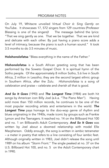## PROGRAM NOTES

On July 19, Whitacre unveiled *Virtual Choir 6: Sing Gently* on YouTube. It showcases 17, 572 singers from 129 countries (Professor Blessing is one of the singers)! The message behind the lyrics: "That we sing gently as one. That we be together. That we are kind and delicate with each other. By just having a piano score adds a level of intimacy, because the piano is such a human sound." It took 3.5 months to do 3.5 minutes of music.

Holohonolofatsa "Bless everything in the name of the Father."

Hlohonolofatsa is a South African greeting song that has been performed by the Soweto Gospel Choir. It is spiritual hymn of the Sotho people. Of the approximately 8 million Sotho, 5.6 live in South Africa, 2 million in Lesotho; they are the second largest ethnic group in Southern Africa, after the Zulu. *Hlohonolofatsa* is a song of celebration and praise – celebrate and cherish all that is good.

*And So It Goes* (1990) and *The Longest Time* (1984) are both hit songs by American icon Billy Joel (a.k.a. "The Piano Man"). Having sold more than 150 million records, he continues to be one of the most popular recording artists and entertainers in the world. *The Longest Time* pays homage to the doo-wop genre of rhythm and blues originating in the 1940s, made iconic by groups such as Frankie Lymon and the Teenagers. It reached no. 14 on the Billboard Hot 100 and no. 1 on Billboard's Adult Contemporary. *And So It Goes* was written by Joel about a doomed relationship with model Elle Macpherson. Oddly enough, the song is written in iambic tetrameter – a meter in poetry that refers to a line consisting of four iambic feet. Although originally written in 1983, Joel didn't release the song until 1989 on his album "Storm Front." The single peaked at no. 37 on the U.S. Billboard Hot 100, and no. 5 on the Adult Contemporary chart in 1990.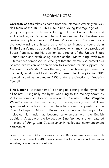Corcoran Cadets takes its name from the infamous Washington D.C. drill team of the 1800s. This elite, albeit young (average age of 16), group competed with units throughout the United States and embodied *esprit de corps.* The unit was named for the American banker and philanthropist William W. Corcoran. Corcoran nearly changed wind band history by offering to finance a young John Philip Sousa's music education in Europe which may have precluded Sousa from securing his position as director of the United States Marine Band and establishing himself as the "March King" with over 130 marches composed. It is thought that the march is so named as a belated expression of appreciation to Corcoran for his support. The *Corcoran Cadets March* was the very first march ever performed by the newly established Eastman Wind Ensemble during its first NBC network broadcast in January 1953 under the direction of Frederick Fennell.

Sine Nomine "without name" is an original setting of the hymn "For all Saints". Originally the hymn was sung to the melody *Sarum* by Victorian composer Joseph Barnby until 1906 when Ralph Vaughan Williams penned the new melody for the *English Hymnal*. Williams spent most of his life in London where he studied composition at the Royal College of Music. Known for his interest in English folk melodies his music has become synonymous with the English tradition. A staple of the Ivy League, *Sine Nomine* is often featured in place of *Pomp and Circumstance* in collegiate commencement ceremonies.

Tomaso Giovanni Albinoni was a prolific Baroque-era composer with an opus comprised of 48 operas, several solo cantatas and numerous sonatas, concerto's and sinfonia.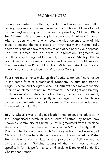Though somewhat forgotten by modern audiences his music left a lasting impression on Johann Sebastian Bach who would base four of his own keyboard fugues on themes composed by Albinoni. Elegy for Albinoni is a memorial piece composed in Albinoni's honor. After an opening theme which sets the ultra-romantic tone of this piece, a second theme is based on rhythmically and harmonically altered versions of a few measures of one of Albinoni's violin sonatas. The two themes can be heard in alternation, fragments, or simultaneously throughout the entirety of the work. Shelley Hanson is an American composer, conductor, and clarinetist from Minnesota. She completed her PhD in Music from Michigan State University and currently serves on the faculty of Macalester College.

Four short movements make up this "petite symphony" constructed in the same form as a traditional symphony: Allegro non troppo, Largo, Scherzo, and Allegro vivace. In Elements each movement also refers to an element of nature. Movement 1, Air, is light and breathy, made up mostly of staccato notes. Water, the second movement, ripples and flows softly and gently. An homage to Holst's The Planets can be heard in Earth, the third movement. The piece concludes in an intense inferno with Fire.

Roy A. Cheville was a religious leader, theologian, and educator in the Reorganized Church of Jesus Christ of Latter Day Saints (now known as Community of Christ). Cheville graduated from Graceland University in 1921, continued on to receive an A.M. in Divinity, D.B. in Practical Theology and later a PhD in religion from the University of Chicago. In 1926 he authored Graceland University's Alma Mater Hymn while serving on faculty as a professor of Religion and as campus pastor. Tonights setting of the hymn was arranged specifically for this performance by Graceland Director of Bands, Dr. Christopher Brandt.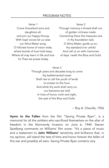Verse 1 Come Graceland sons and daughters all, and join our happy throng. With loyal voices let us raise our Alma Mater song. O hillcrest home of vision wide, where bonds of love hold sway. Where all may learn in life and lore 'tis Thee we praise today.

#### Verse 2

Through memory a thread shall run, of golden richness made. Cementing there the treasures rare in thy foundation laid. O Alma Mater, guide us on, thy standard e'er unfold And call us on with memories of days 'neath the Blue and Gold.

Verse 3 Through years and decades long to come thy battlemented tower Shall rise to call the youth of lands to answer to the hour. And while thy work shall carry on, our benisons are told In lives of honor, truth and right, the seal of the Blue and Gold.

~ Roy A. Cheville, 1926

Hymn to the Fallen from the film "Saving Private Ryan", is a memorial for all the soldiers who sacrificed themselves on the altar of freedom in the Normandy Invasion on June 6, 1944. Steven Spielberg comments on Williams' film score: "It's a piece of music and a testament to John Williams' sensitivity and brilliance that, in my opinion, will stand the test of time and honor forever the fallen of this war and possibly all wars. *Saving Private Ryan* contains very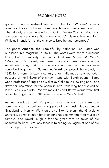## PROGRAM NOTES

sparse writing as restraint seemed to be John Williams' primary objective. He did not want to sentimentalize or create emotion from what already existed in raw form. *Saving Private Ryan* is furious and relentless, as are all wars. But where is music? It is exactly where John Williams intends for us, the chance to breathe and remember."

The poem America the Beautiful by Katherine Lee Bates was published in a magazine in 1894. The words were set to numerous tunes, but the melody that suited best was Samuel A. Ward's "Materna". So closely are these words and music associated by Americans today, that most generally assume that the two were conceived together. Samuel A. Ward composed the melody in 1882 for a hymn written a century prior. His music survives today because of the linkage of this hymn tune with Bate's poem. Bates was a professor of English at Wellesley College in New England. She drew her inspiration for the poem in 1893 following her first visit to Pike's Peak, Colorado. Ward's melodies and Bate's words were first presented together in 1910, seven years after Ward's death.

As we conclude tonight's performance we want to thank the community of Lamoni for its support of the music department at Graceland University. We would also like to thank the Graceland University administration for their continued commitment to music on campus, and David Laughlin for the great care he takes of our beautiful facilities. We look forward to seeing you again at one of our music department events.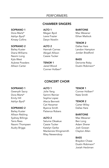## PERFORMERS

#### CHAMBER SINGERS

SOPRANO 1 Dora Martz\* Ashlyn Byrd\* Kinsey Collins

#### SOPRANO 2

Bailey Kuster Diana Williams Naomi Long Kyla West Aubree Powders Allison Carter

ALTO 1 Megan Byrd Lexie Frazier Daryn Nowlin

ALTO 2 Hannah Carnes Abigail Allison Cassie Tucker

TENOR 1 Jared Wood Conner Holben\* BARITONE Max Wessner Ethan Matlock

TENOR 2 Dallas Hare Landon Hampton Jordan Bradford

#### BASS Derionte Roby Dustin Robinson\*

#### CONCERT CHOIR

#### SOPRANO 1

Gwenyth Sacry Dora Martz\* Emily Hill Ashlyn Byrd\*

#### SOPRANO 2

Bailey Kuster Allison Rebling Sydney Billings Tanis Rees Naomi Thompsen Audry Briggs

ALTO 1 Jolie Yang Sammi Reinier Sophia Lopez Alecia Bennett Cat Hexamer Byanca Smith Patience Robers

#### ALTO 2

Salume Oksakue Cassie Tucker Katelyn Gerke Mackenzie Klinginsmith Riley Newendorp

TENOR 1 Conner Holben\* Nate Smith

#### TENOR 2

Carter Wiley Dallas Hare

#### BARITONE

Max Wessner Ben Long Adam Sherer Josh Gowan Clayton Allen

#### **BASS**

Braydon Chase Dustin Robinson\* Josiah Heckman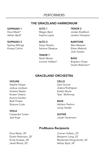## PERFORMERS

#### THE GRACELAND HARMONIUM

SOPRANO 1 Dora Martz\* Ashlyn Byrd\*

#### SOPRANO 2

Sydney Billings Kinsey Collins

ALTO 1 Megan Byrd Sophia Lopez

ALTO 2 Daryn Nowlin Salume Oksakue

TENOR 1 Noah Wood Conner Holben\* TENOR 2 Jordan Bradford Landon Hampton

BARITONE Max Wessner Ethan Matlock Josh Gowan

BASS Braydon Chase Dustin Robinson\*

#### GRACELAND ORCHESTRA

#### VIOLINS

Natalie Harper Joshua Jordison Andrew Naylor Kristen Owens Aurora Gordon Beth Presler Shianne Cook

#### VIOLA

Cassandra Tucker Jack Ergo

CELLO

Zach Grover Jessica Rodriguez Kaitlyn Bover Tyler McKinney

#### **BASS**

Ashlynn Perkins Lacey Harder

**GUITAR** Josiah Heckmann

#### ProMusica Recipients

Dora Martz, 20' Dustin Robinson, 20' Emily Scobee, 20' Jared Wood, 20'

Conner Holben, 23' Benjamin Long, 23' Mackenzie Klinginsmith, 24' Ashlyn Byrd, 24'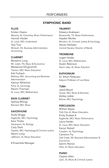#### SYMPHONIC BAND

#### **FLUTE**

Kristen Owens Waverly, IA, Chemistry, Music Performance Hannah Harder St. Louis, MO, Undeclared Tara True Mclouth, KS, Business Administration, Accounting,

#### CLARINET

Benjamin Long Mt. Juliet, TN, Music & Economics Mackenzie Klinginsmith Trenton, MO, Music Education Kali Forbach Bethany, MO, Accounting and Business Administration Kamryn Whelchel Perry, IA, Sociology Naomi Thomsen St. Louis, MO, Mathematics

#### BASS CLARINET

Sydney Billings Barnard, MO, Music

#### **SAXOPHONE**

Audry Briggs Eagleville, MO, Psychology Kara Thobe Davenport, IA, Biology Carly Stark Fayette, MO, Psychology & Criminal Justice Naomi Long Jefferson, IA, Music Education

# Ensemble Manager

#### TRUMPET

Soleece Anabwani Brownsville, TX, Music Performance Hayden Morlan Moulton, IA, Criminal Justice & Sociology Steven Neilssen Central Decatur Director of Bands

#### **TROMBONE**

Logan Harder St. Louis, MO, Mathematics Dustin Robinson Storm Lake, IA, Music Eduction

EUPHONIUM Dr. Ethan Petterson Adjunct Professor of Low Brass

#### TUBA

Jared Wood Gower, MO, Music & Business Ashley Leible Bolivar, MO, Psychology

#### **PERCUSSION**

William Bayse Polk City, IA, Music Education Emily Scobee # Eagleville, MO, Music Performance Laura Harder St. Louis, MO, Music Education Karryn Nickell Corydon, IA, Psychology Cameron Fry Oak Creek, WI, Business Administration & Economics Sammi Reinier Ollie, IA, Music Education

#### PIANO

Clayton Allen Leon, IA, Music & Criminal Justice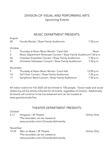## DIVISION OF VISUAL AND PERFORMING ARTS Upcoming Events

#### MUSIC DEPARTMENT PRESENTS:

| August   |                                                                     |            |
|----------|---------------------------------------------------------------------|------------|
| 28       | Faculty Recital / Shaw Family Auditorium                            | 7:30 p.m.  |
| October  |                                                                     |            |
| 1        | Thursday at Noon Music Recital / Carol Hall                         | Noon       |
| 2        | Music Department Showcase Concert / Shaw Family Auditorium7:30 p.m. |            |
| 26       | Chamber Ensemble Concert / Shaw Family Auditorium                   | 7:30 p.m.  |
| 30       | Orchestra Halloween Concert / Shaw Family Auditorium                | 7:30 p.m.  |
| November |                                                                     |            |
| 5.       | Thursday at Noon Music Recital / Carol Hall                         | 12:00 p.m. |
| 14       | Fall Choir Concert / Shaw Family Auditorium                         | 7:30 p.m.  |
| 17       | Symphonic Band Concert / Shaw Family Auditorium                     | 7:30 p.m.  |
|          |                                                                     |            |

All indoor events for Fall 2020 will be limited to 100 people. Facial masks and social distancing will be strictly enforced for all events, regardless of location. Additionally, all events will continue to be live-streamed and can be located at www.graceland.edu/live.

#### THEATER DEPARTMENT PRESENTS:

#### October

2-11 Antigone / JR Theatre **Constanting Constanting Online Only**  \*Pre-recorded; can be viewed at www.youtube.com/c/GracelandUniversity

#### November

19-29 Men on Boats / JR Theatre **Constanting Contract Constanting Online Only**  \*Pre-recorded; can be viewed at www.youtube.com/c/GracelandUniversity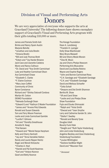## Division of Visual and Performing Arts **Donors**

We are very appreciative of everyone who supports the arts at Graceland University! The following donors have shown exemplary support of Graceland's Visual and Performing Arts program with their gifts totaling \$10,000 or more.

James and Pamela Smith Ash Brinks and Nancy Spain Austin Marjorie Belville \*Jonathan and Julia Bredin \*Octavia Bredin \*Bill and Judy Thomas Brett \*Edwin and \*Joy Harder Browne Jack Cave and Jeanette Caldeira Myron and Nancy Calhoun \*Dr. David and \*Ava Smith Carmichael Luke and Heather Carmichael Olson Ava Carmichael Chase \*Elizabeth C. Clarke \*F. Elaine Cochran \*Mary Jean Coffelt Community of Christ Byron Constance Richard and \*Shirley Oatsvall Cordova Marilyn M. Cotton DEKKO Foundation \*Nelvada Surbaugh Dean \*Edward G and \*Kathryn E Mader Foundation \*James and \*Arvene Petz Edwards Ronald and Susan Edwards Tom and Terry Moore Freeman Leslie and Linda Carmichael Gamble \*Lucille F. Gilmore \*Art and \*Dorothy Greathouse Annette B. Haag \*Pat Hansen \*Howard and \*Meriel Harpe Harpham Kelly and Cherry Hartnett \*Jay and \*Anna Vanskike Hatton Randy and Laurie Nipper Heintz Roger and Wendi Hintzsche \*Charles A. Hoyt \*Harold and Pat Scott Keairnes \*Earl and \*Ardyce Koonce Gearl and Betty Koonce

The Kresge Foundation Dean A. Landsberg \*Franklin H. Lysinger Dolly Shaw MacDonald Mary Bruns Maxwell Bill and Sherry Mesle Morain \*Cleo M. Moon Jay and Cherry Phelps Newcom Performing Arts Muscatine David and Lisa Bailey Robino Wayne and Sophie Rogers \*John and Bonnie Carmichael Ross \*C.H. Sandage and \*Elizabeth Sandage \*C.H. and \*Elizabeth Sandage David and Melissa Schaefer \*Celia Schall \*Dwayne and Dot Smith Shannon Bertha M. Shaw \*JR and Carol Shaw \*Leslie and Lois Phelps Shaw Shaw Foundation Fujio and Etsuko Shimazaki \*Ralph and \*Viola Smith \*Elwood and \*Jean Smythe Larry and Catherine Xander St. John \*Stella F. Swalley \*Ronald and Beverly Tyree Douglas Udell Beverly Funk Vitek \*Dwight and \*Ruth Taylor Vredenburg John and Linda Vredenburg Angeline Beckley and Zane Vredenburg Vredenburg Foundation \*Louise Whittington \*Darlene VanBiber Wight David and \*Maureen Yost

*\* Deceased*